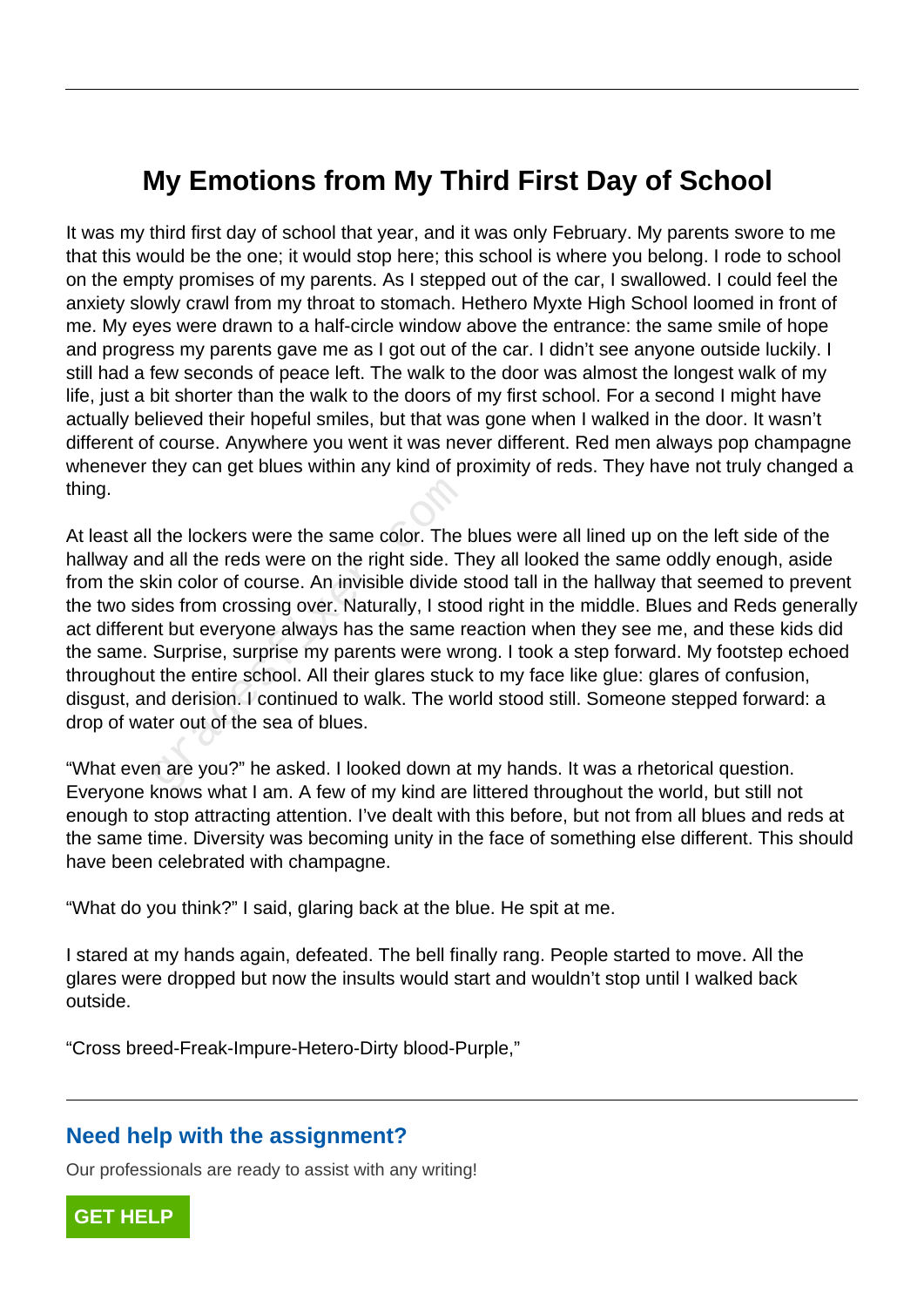## **My Emotions from My Third First Day of School**

It was my third first day of school that year, and it was only February. My parents swore to me that this would be the one; it would stop here; this school is where you belong. I rode to school on the empty promises of my parents. As I stepped out of the car, I swallowed. I could feel the anxiety slowly crawl from my throat to stomach. Hethero Myxte High School loomed in front of me. My eyes were drawn to a half-circle window above the entrance: the same smile of hope and progress my parents gave me as I got out of the car. I didn't see anyone outside luckily. I still had a few seconds of peace left. The walk to the door was almost the longest walk of my life, just a bit shorter than the walk to the doors of my first school. For a second I might have actually believed their hopeful smiles, but that was gone when I walked in the door. It wasn't different of course. Anywhere you went it was never different. Red men always pop champagne whenever they can get blues within any kind of proximity of reds. They have not truly changed a thing.

At least all the lockers were the same color. The blues were all lined up on the left side of the hallway and all the reds were on the right side. They all looked the same oddly enough, aside from the skin color of course. An invisible divide stood tall in the hallway that seemed to prevent the two sides from crossing over. Naturally, I stood right in the middle. Blues and Reds generally act different but everyone always has the same reaction when they see me, and these kids did the same. Surprise, surprise my parents were wrong. I took a step forward. My footstep echoed throughout the entire school. All their glares stuck to my face like glue: glares of confusion, disgust, and derision. I continued to walk. The world stood still. Someone stepped forward: a drop of water out of the sea of blues. the lockers were the same color. The<br>d all the reds were on the right side. Tl<br>kin color of course. An invisible divide s<br>les from crossing over. Naturally, I stoc<br>nt but everyone always has the same re<br>Surprise, surprise

"What even are you?" he asked. I looked down at my hands. It was a rhetorical question. Everyone knows what I am. A few of my kind are littered throughout the world, but still not enough to stop attracting attention. I've dealt with this before, but not from all blues and reds at the same time. Diversity was becoming unity in the face of something else different. This should have been celebrated with champagne.

"What do you think?" I said, glaring back at the blue. He spit at me.

I stared at my hands again, defeated. The bell finally rang. People started to move. All the glares were dropped but now the insults would start and wouldn't stop until I walked back outside.

"Cross breed-Freak-Impure-Hetero-Dirty blood-Purple,"

## **Need help with the assignment?**

Our professionals are ready to assist with any writing!